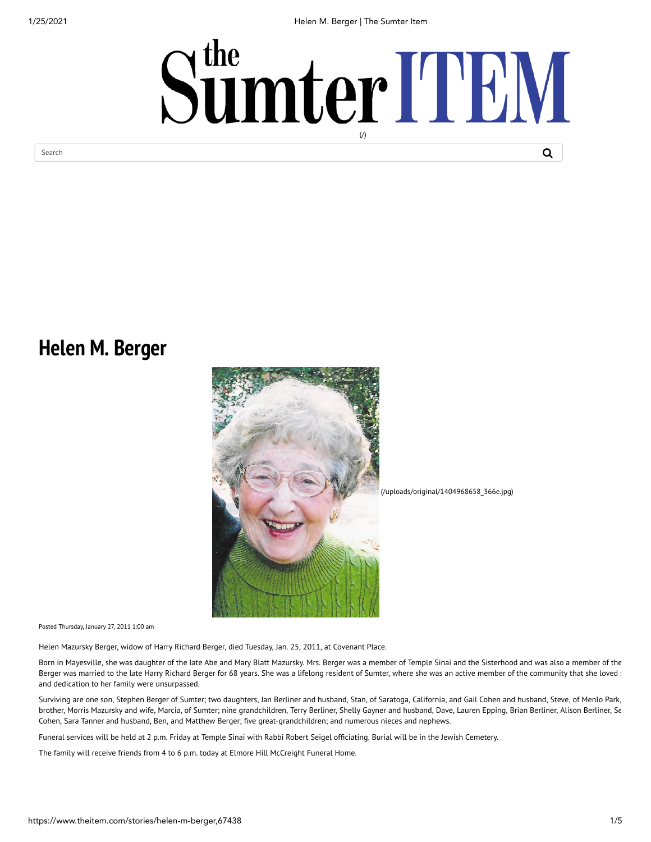1/25/2021 Helen M. Berger | The Sumter Item



## **Helen M. Berger**



Posted Thursday, January 27, 2011 1:00 am

Helen Mazursky Berger, widow of Harry Richard Berger, died Tuesday, Jan. 25, 2011, at Covenant Place.

Born in Mayesville, she was daughter of the late Abe and Mary Blatt Mazursky. Mrs. Berger was a member of Temple Sinai and the Sisterhood and was also a member of the Berger was married to the late Harry Richard Berger for 68 years. She was a lifelong resident of Sumter, where she was an active member of the community that she loved : and dedication to her family were unsurpassed.

Surviving are one son, Stephen Berger of Sumter; two daughters, Jan Berliner and husband, Stan, of Saratoga, California, and Gail Cohen and husband, Steve, of Menlo Park, brother, Morris Mazursky and wife, Marcia, of Sumter; nine grandchildren, Terry Berliner, Shelly Gayner and husband, Dave, Lauren Epping, Brian Berliner, Alison Berliner, Se Cohen, Sara Tanner and husband, Ben, and Matthew Berger; five great-grandchildren; and numerous nieces and nephews.

Funeral services will be held at 2 p.m. Friday at Temple Sinai with Rabbi Robert Seigel officiating. Burial will be in the Jewish Cemetery.

The family will receive friends from 4 to 6 p.m. today at Elmore Hill McCreight Funeral Home.